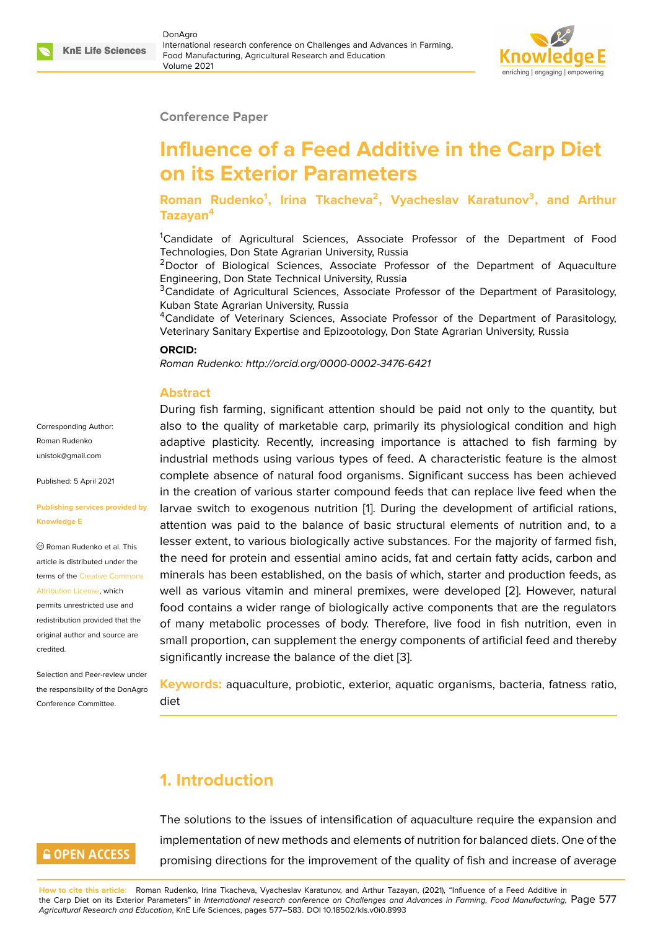

#### **Conference Paper**

# **Influence of a Feed Additive in the Carp Diet on its Exterior Parameters**

**Roman Rudenko<sup>1</sup> , Irina Tkacheva<sup>2</sup> , Vyacheslav Karatunov<sup>3</sup> , and Arthur Tazayan<sup>4</sup>**

<sup>1</sup>Candidate of Agricultural Sciences, Associate Professor of the Department of Food Technologies, Don State Agrarian University, Russia

<sup>2</sup>Doctor of Biological Sciences, Associate Professor of the Department of Aquaculture Engineering, Don State Technical University, Russia

<sup>3</sup>Candidate of Agricultural Sciences, Associate Professor of the Department of Parasitology, Kuban State Agrarian University, Russia

<sup>4</sup>Candidate of Veterinary Sciences, Associate Professor of the Department of Parasitology, Veterinary Sanitary Expertise and Epizootology, Don State Agrarian University, Russia

#### **ORCID:**

*Roman Rudenko: http://orcid.org/0000-0002-3476-6421*

#### **Abstract**

Corresponding Author: Roman Rudenko unistok@gmail.com

Published: 5 April 2021

#### **[Publishing services](mailto:unistok@gmail.com) provided by Knowledge E**

Roman Rudenko et al. This article is distributed under the terms of the Creative Commons Attribution License, which

permits unrestricted use and redistribution provided that the original auth[or and source are](https://creativecommons.org/licenses/by/4.0/) [credited.](https://creativecommons.org/licenses/by/4.0/)

Selection and Peer-review under the responsibility of the DonAgro Conference Committee.

During fish farming, significant attention should be paid not only to the quantity, but also to the quality of marketable carp, primarily its physiological condition and high adaptive plasticity. Recently, increasing importance is attached to fish farming by industrial methods using various types of feed. A characteristic feature is the almost complete absence of natural food organisms. Significant success has been achieved in the creation of various starter compound feeds that can replace live feed when the larvae switch to exogenous nutrition [1]. During the development of artificial rations, attention was paid to the balance of basic structural elements of nutrition and, to a lesser extent, to various biologically active substances. For the majority of farmed fish, the need for protein and essential ami[n](#page-5-0)o acids, fat and certain fatty acids, carbon and minerals has been established, on the basis of which, starter and production feeds, as well as various vitamin and mineral premixes, were developed [2]. However, natural food contains a wider range of biologically active components that are the regulators of many metabolic processes of body. Therefore, live food in fish nutrition, even in small proportion, can supplement the energy components of artifi[cia](#page-5-1)l feed and thereby significantly increase the balance of the diet [3].

**Keywords:** aquaculture, probiotic, exterior, aquatic organisms, bacteria, fatness ratio, diet

# **1. Introduction**

# **GOPEN ACCESS**

The solutions to the issues of intensification of aquaculture require the expansion and implementation of new methods and elements of nutrition for balanced diets. One of the promising directions for the improvement of the quality of fish and increase of average

**How to cite this article**: Roman Rudenko, Irina Tkacheva, Vyacheslav Karatunov, and Arthur Tazayan, (2021), "Influence of a Feed Additive in the Carp Diet on its Exterior Parameters" in *International research conference on Challenges and Advances in Farming, Food Manufacturing,* Page 577 *Agricultural Research and Education*, KnE Life Sciences, pages 577–583. DOI 10.18502/kls.v0i0.8993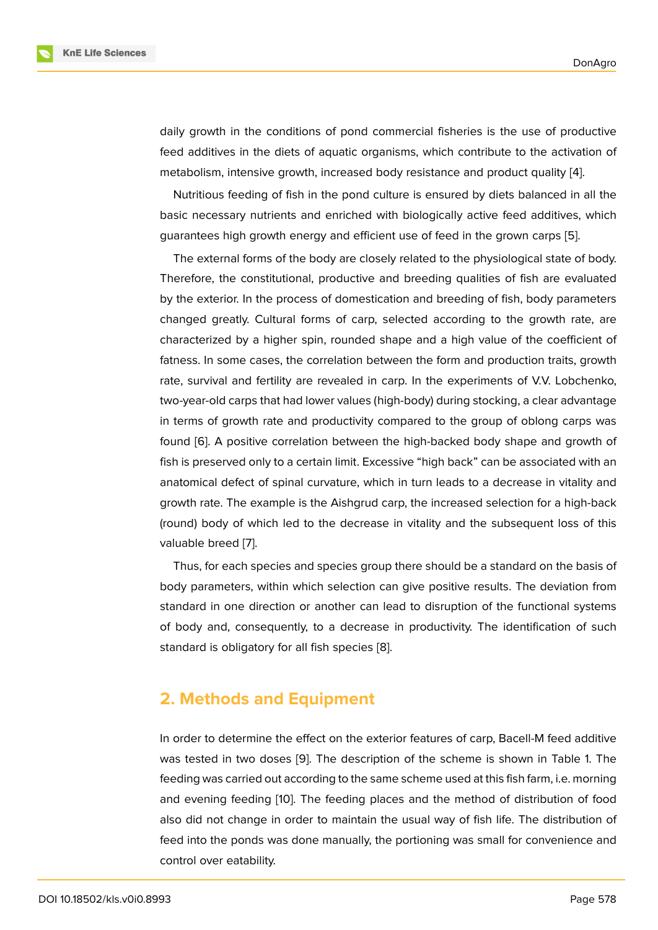daily growth in the conditions of pond commercial fisheries is the use of productive feed additives in the diets of aquatic organisms, which contribute to the activation of metabolism, intensive growth, increased body resistance and product quality [4].

Nutritious feeding of fish in the pond culture is ensured by diets balanced in all the basic necessary nutrients and enriched with biologically active feed additives, which guarantees high growth energy and efficient use of feed in the grown carps [[5\].](#page-5-2)

The external forms of the body are closely related to the physiological state of body. Therefore, the constitutional, productive and breeding qualities of fish are evaluated by the exterior. In the process of domestication and breeding of fish, body p[ara](#page-5-3)meters changed greatly. Cultural forms of carp, selected according to the growth rate, are characterized by a higher spin, rounded shape and a high value of the coefficient of fatness. In some cases, the correlation between the form and production traits, growth rate, survival and fertility are revealed in carp. In the experiments of V.V. Lobchenko, two-year-old carps that had lower values (high-body) during stocking, a clear advantage in terms of growth rate and productivity compared to the group of oblong carps was found [6]. A positive correlation between the high-backed body shape and growth of fish is preserved only to a certain limit. Excessive "high back" can be associated with an anatomical defect of spinal curvature, which in turn leads to a decrease in vitality and growth [ra](#page-5-4)te. The example is the Aishgrud carp, the increased selection for a high-back (round) body of which led to the decrease in vitality and the subsequent loss of this valuable breed [7].

Thus, for each species and species group there should be a standard on the basis of body parameters, within which selection can give positive results. The deviation from standard in one [d](#page-5-5)irection or another can lead to disruption of the functional systems of body and, consequently, to a decrease in productivity. The identification of such standard is obligatory for all fish species [8].

### **2. Methods and Equipment**

In order to determine the effect on the exterior features of carp, Bacell-M feed additive was tested in two doses [9]. The description of the scheme is shown in Table 1. The feeding was carried out according to the same scheme used at this fish farm, i.e. morning and evening feeding [10]. The feeding places and the method of distribution of food also did not change in or[de](#page-5-6)r to maintain the usual way of fish life. The distribution of feed into the ponds was done manually, the portioning was small for convenience and control over eatability.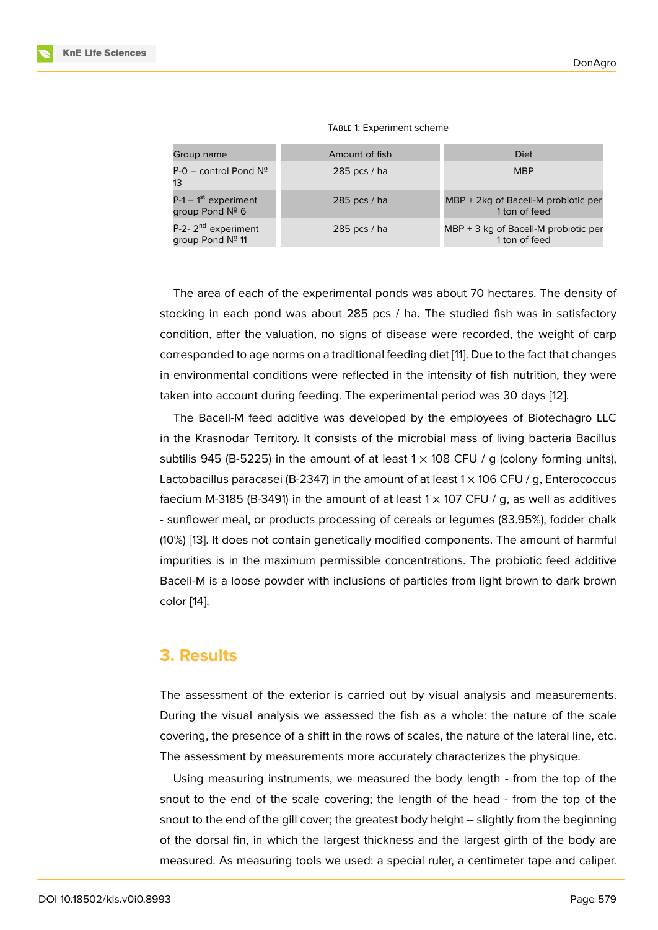|  | TABLE 1: Experiment scheme |  |
|--|----------------------------|--|
|--|----------------------------|--|

| Group name                                          | Amount of fish | Diet                                                  |
|-----------------------------------------------------|----------------|-------------------------------------------------------|
| $P-O - control$ Pond $N^{\circ}$<br>13              | 285 pcs $/$ ha | <b>MBP</b>                                            |
| $P-1-1$ <sup>st</sup> experiment<br>group Pond Nº 6 | 285 pcs $/$ ha | MBP + 2kg of Bacell-M probiotic per<br>1 ton of feed  |
| P-2-2 <sup>nd</sup> experiment<br>group Pond Nº 11  | 285 pcs $/$ ha | MBP + 3 kg of Bacell-M probiotic per<br>1 ton of feed |

The area of each of the experimental ponds was about 70 hectares. The density of stocking in each pond was about 285 pcs / ha. The studied fish was in satisfactory condition, after the valuation, no signs of disease were recorded, the weight of carp corresponded to age norms on a traditional feeding diet [11]. Due to the fact that changes in environmental conditions were reflected in the intensity of fish nutrition, they were taken into account during feeding. The experimental period was 30 days [12].

The Bacell-M feed additive was developed by the [em](#page-5-7)ployees of Biotechagro LLC in the Krasnodar Territory. It consists of the microbial mass of living bacteria Bacillus subtilis 945 (B-5225) in the amount of at least  $1 \times 108$  CFU / g (colony fo[rm](#page-5-8)ing units), Lactobacillus paracasei (B-2347) in the amount of at least  $1 \times 106$  CFU / g, Enterococcus faecium M-3185 (B-3491) in the amount of at least  $1 \times 107$  CFU / g, as well as additives - sunflower meal, or products processing of cereals or legumes (83.95%), fodder chalk (10%) [13]. It does not contain genetically modified components. The amount of harmful impurities is in the maximum permissible concentrations. The probiotic feed additive Bacell-M is a loose powder with inclusions of particles from light brown to dark brown color [\[14](#page-5-9)].

### **3. R[es](#page-5-10)ults**

The assessment of the exterior is carried out by visual analysis and measurements. During the visual analysis we assessed the fish as a whole: the nature of the scale covering, the presence of a shift in the rows of scales, the nature of the lateral line, etc. The assessment by measurements more accurately characterizes the physique.

Using measuring instruments, we measured the body length - from the top of the snout to the end of the scale covering; the length of the head - from the top of the snout to the end of the gill cover; the greatest body height – slightly from the beginning of the dorsal fin, in which the largest thickness and the largest girth of the body are measured. As measuring tools we used: a special ruler, a centimeter tape and caliper.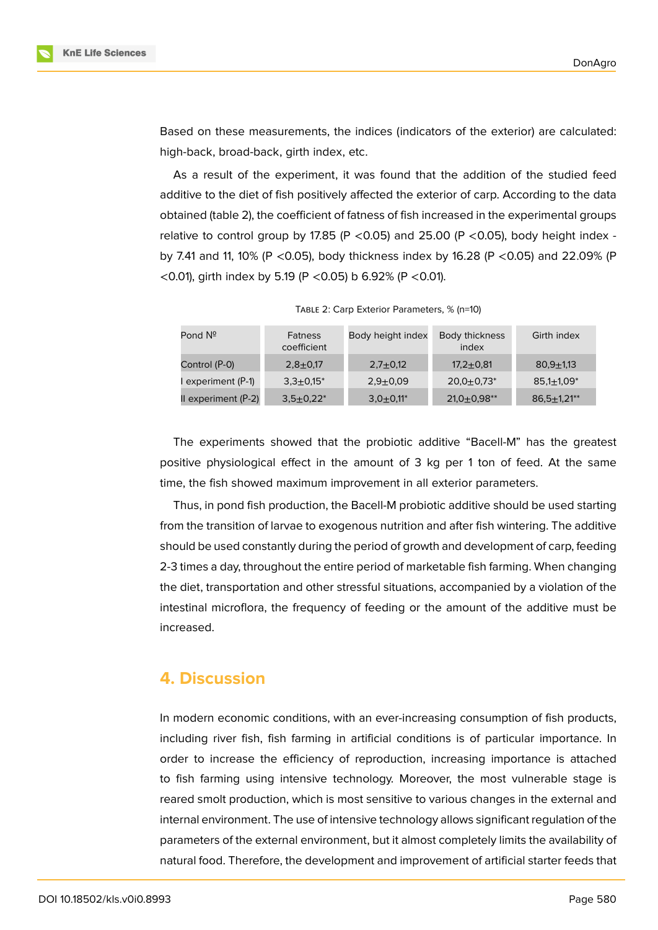

Based on these measurements, the indices (indicators of the exterior) are calculated: high-back, broad-back, girth index, etc.

As a result of the experiment, it was found that the addition of the studied feed additive to the diet of fish positively affected the exterior of carp. According to the data obtained (table 2), the coefficient of fatness of fish increased in the experimental groups relative to control group by 17.85 (P < 0.05) and 25.00 (P < 0.05), body height index by 7.41 and 11, 10% (P <0.05), body thickness index by 16.28 (P <0.05) and 22.09% (P <0.01), girth index by 5.19 (P <0.05) b 6.92% (P <0.01).

| Pond Nº               | <b>Fatness</b><br>coefficient | Body height index       | Body thickness<br>index      | Girth index        |
|-----------------------|-------------------------------|-------------------------|------------------------------|--------------------|
| Control (P-0)         | $2,8+0,17$                    | $2,7+0,12$              | $17.2 \pm 0.81$              | $80.9 + 1.13$      |
| l experiment (P-1)    | $3.3 \pm 0.15^*$              | $2.9 + 0.09$            | $20.0 \pm 0.73$ <sup>*</sup> | $85,1+1,09*$       |
| II experiment $(P-2)$ | $3,5+0,22^*$                  | $3,0+0,11$ <sup>*</sup> | $21,0+0,98**$                | $86.5 \pm 1.21$ ** |

TABLE 2: Carp Exterior Parameters, % (n=10)

The experiments showed that the probiotic additive "Bacell-M" has the greatest positive physiological effect in the amount of 3 kg per 1 ton of feed. At the same time, the fish showed maximum improvement in all exterior parameters.

Thus, in pond fish production, the Bacell-M probiotic additive should be used starting from the transition of larvae to exogenous nutrition and after fish wintering. The additive should be used constantly during the period of growth and development of carp, feeding 2-3 times a day, throughout the entire period of marketable fish farming. When changing the diet, transportation and other stressful situations, accompanied by a violation of the intestinal microflora, the frequency of feeding or the amount of the additive must be increased.

## **4. Discussion**

In modern economic conditions, with an ever-increasing consumption of fish products, including river fish, fish farming in artificial conditions is of particular importance. In order to increase the efficiency of reproduction, increasing importance is attached to fish farming using intensive technology. Moreover, the most vulnerable stage is reared smolt production, which is most sensitive to various changes in the external and internal environment. The use of intensive technology allows significant regulation of the parameters of the external environment, but it almost completely limits the availability of natural food. Therefore, the development and improvement of artificial starter feeds that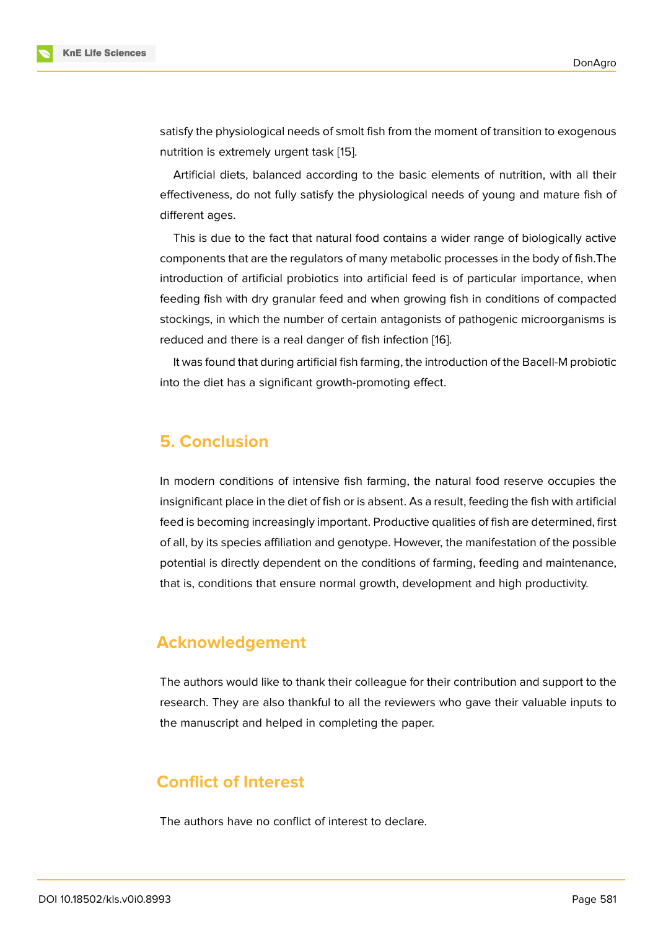satisfy the physiological needs of smolt fish from the moment of transition to exogenous nutrition is extremely urgent task [15].

Artificial diets, balanced according to the basic elements of nutrition, with all their effectiveness, do not fully satisfy the physiological needs of young and mature fish of different ages.

This is due to the fact that natural food contains a wider range of biologically active components that are the regulators of many metabolic processes in the body of fish.The introduction of artificial probiotics into artificial feed is of particular importance, when feeding fish with dry granular feed and when growing fish in conditions of compacted stockings, in which the number of certain antagonists of pathogenic microorganisms is reduced and there is a real danger of fish infection [16].

It was found that during artificial fish farming, the introduction of the Bacell-M probiotic into the diet has a significant growth-promoting effect.

### **5. Conclusion**

In modern conditions of intensive fish farming, the natural food reserve occupies the insignificant place in the diet of fish or is absent. As a result, feeding the fish with artificial feed is becoming increasingly important. Productive qualities of fish are determined, first of all, by its species affiliation and genotype. However, the manifestation of the possible potential is directly dependent on the conditions of farming, feeding and maintenance, that is, conditions that ensure normal growth, development and high productivity.

# **Acknowledgement**

The authors would like to thank their colleague for their contribution and support to the research. They are also thankful to all the reviewers who gave their valuable inputs to the manuscript and helped in completing the paper.

# **Conflict of Interest**

The authors have no conflict of interest to declare.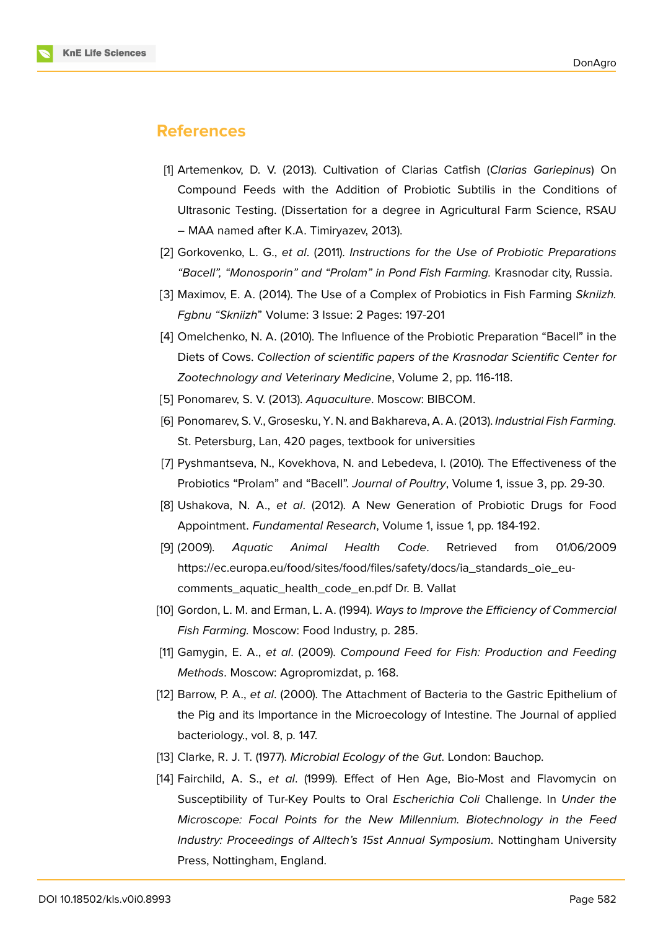### **References**

- [1] Artemenkov, D. V. (2013). Cultivation of Clarias Catfish (*Clarias Gariepinus*) On Compound Feeds with the Addition of Probiotic Subtilis in the Conditions of Ultrasonic Testing. (Dissertation for a degree in Agricultural Farm Science, RSAU – MAA named after K.A. Timiryazev, 2013).
- <span id="page-5-0"></span>[2] Gorkovenko, L. G., *et al*. (2011). *Instructions for the Use of Probiotic Preparations "Bacell", "Monosporin" and "Prolam" in Pond Fish Farming.* Krasnodar city, Russia.
- <span id="page-5-1"></span>[3] Maximov, E. A. (2014). The Use of a Complex of Probiotics in Fish Farming *Skniizh. Fgbnu "Skniizh*" Volume: 3 Issue: 2 Pages: 197-201
- [4] Omelchenko, N. A. (2010). The Influence of the Probiotic Preparation "Bacell" in the Diets of Cows. *Collection of scientific papers of the Krasnodar Scientific Center for Zootechnology and Veterinary Medicine*, Volume 2, pp. 116-118.
- <span id="page-5-2"></span>[5] Ponomarev, S. V. (2013). *Aquaculture*. Moscow: BIBCOM.
- [6] Ponomarev, S. V., Grosesku, Y. N. and Bakhareva, A. A. (2013). *Industrial Fish Farming.* St. Petersburg, Lan, 420 pages, textbook for universities
- <span id="page-5-4"></span><span id="page-5-3"></span>[7] Pyshmantseva, N., Kovekhova, N. and Lebedeva, I. (2010). The Effectiveness of the Probiotics "Prolam" and "Bacell". *Journal of Poultry*, Volume 1, issue 3, pp. 29-30.
- <span id="page-5-5"></span>[8] Ushakova, N. A., *et al*. (2012). A New Generation of Probiotic Drugs for Food Appointment. *Fundamental Research*, Volume 1, issue 1, pp. 184-192.
- [9] (2009). *Aquatic Animal Health Code*. Retrieved from 01/06/2009 https://ec.europa.eu/food/sites/food/files/safety/docs/ia\_standards\_oie\_eucomments\_aquatic\_health\_code\_en.pdf Dr. B. Vallat
- <span id="page-5-6"></span>[10] Gordon, L. M. and Erman, L. A. (1994). *Ways to Improve the Efficiency of Commercial Fish Farming.* [Moscow: Food Industry, p. 285.](https://ec.europa.eu/food/sites/food/files/safety/docs/ia_standards_oie_eu-comments_aquatic_health_code_en.pdf)
- [11] [Gamygin, E. A.,](https://ec.europa.eu/food/sites/food/files/safety/docs/ia_standards_oie_eu-comments_aquatic_health_code_en.pdf) *et al*. (2009). *Compound Feed for Fish: Production and Feeding Methods*. Moscow: Agropromizdat, p. 168.
- <span id="page-5-7"></span>[12] Barrow, P. A., *et al*. (2000). The Attachment of Bacteria to the Gastric Epithelium of the Pig and its Importance in the Microecology of Intestine. The Journal of applied bacteriology., vol. 8, p. 147.
- <span id="page-5-8"></span>[13] Clarke, R. J. T. (1977). *Microbial Ecology of the Gut*. London: Bauchop.
- <span id="page-5-10"></span><span id="page-5-9"></span>[14] Fairchild, A. S., *et al*. (1999). Effect of Hen Age, Bio-Most and Flavomycin on Susceptibility of Tur-Key Poults to Oral *Escherichia Coli* Challenge. In *Under the Microscope: Focal Points for the New Millennium. Biotechnology in the Feed Industry: Proceedings of Alltech's 15st Annual Symposium*. Nottingham University Press, Nottingham, England.